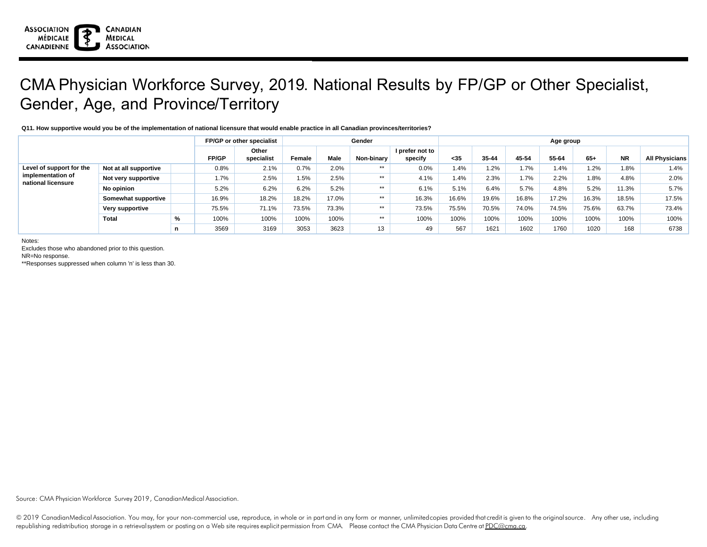## CMA Physician Workforce Survey, 2019. National Results by FP/GP or Other Specialist, Gender, Age, and Province/Territory

## **Q11. How supportive would you be of the implementation of national licensure that would enable practice in all Canadian provinces/territories?**

|                                                                     |                       | FP/GP or other specialist |              |                     |        | Gender      | Age group  |                            |       |           |       |       |       |           |                       |
|---------------------------------------------------------------------|-----------------------|---------------------------|--------------|---------------------|--------|-------------|------------|----------------------------|-------|-----------|-------|-------|-------|-----------|-----------------------|
|                                                                     |                       |                           | <b>FP/GP</b> | Other<br>specialist | Female | <b>Male</b> | Non-binary | I prefer not to<br>specify | $35$  | $35 - 44$ | 45-54 | 55-64 | $65+$ | <b>NR</b> | <b>All Physicians</b> |
| Level of support for the<br>implementation of<br>national licensure | Not at all supportive |                           | 0.8%         | 2.1%                | 0.7%   | 2.0%        | $***$      | 0.0%                       | 1.4%  | 1.2%      | 1.7%  | 1.4%  | 1.2%  | 1.8%      | $1.4\%$               |
|                                                                     | Not very supportive   |                           | 1.7%         | 2.5%                | 1.5%   | 2.5%        | $**$       | 4.1%                       | 1.4%  | 2.3%      | 1.7%  | 2.2%  | 1.8%  | 4.8%      | $2.0\%$               |
|                                                                     | No opinion            |                           | 5.2%         | 6.2%                | 6.2%   | 5.2%        | $**$       | 6.1%                       | 5.1%  | 6.4%      | 5.7%  | 4.8%  | 5.2%  | 11.3%     | 5.7%                  |
|                                                                     | Somewhat supportive   |                           | 16.9%        | 18.2%               | 18.2%  | 17.0%       | $**$       | 16.3%                      | 16.6% | 19.6%     | 16.8% | 17.2% | 16.3% | 18.5%     | 17.5%                 |
|                                                                     | Very supportive       |                           | 75.5%        | 71.1%               | 73.5%  | 73.3%       | **         | 73.5%                      | 75.5% | 70.5%     | 74.0% | 74.5% | 75.6% | 63.7%     | 73.4%                 |
|                                                                     | Total                 | %                         | 100%         | 100%                | 100%   | 100%        | **         | 100%                       | 100%  | 100%      | 100%  | 100%  | 100%  | 100%      | 100%                  |
|                                                                     |                       |                           | 3569         | 3169                | 3053   | 3623        | 13         | 49                         | 567   | 1621      | 1602  | 1760  | 1020  | 168       | 6738                  |

Notes:

Excludes those who abandoned prior to this question.

NR=No response.

\*\*Responses suppressed when column 'n' is less than 30.

Source: CMA Physician Workforce Survey 2019, CanadianMedical Association.